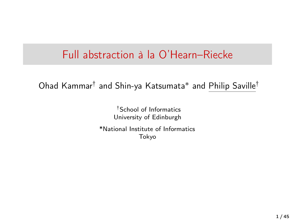### Full abstraction à la O'Hearn–Riecke

#### Ohad Kammar† and Shin-ya Katsumata\* and Philip Saville†

<sup>†</sup>School of Informatics University of Edinburgh

\*National Institute of Informatics Tokyo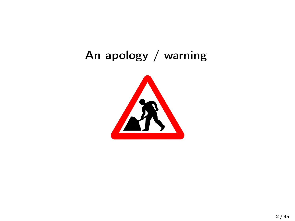## An apology / warning

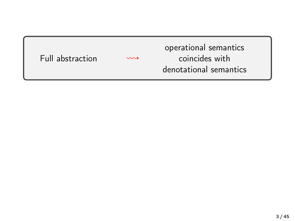| Full abstraction | $\sim$ | operational semantics<br>coincides with |  |
|------------------|--------|-----------------------------------------|--|
|                  |        | denotational semantics                  |  |
|                  |        |                                         |  |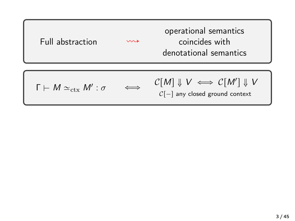| Full abstraction | $\sim$ | operational semantics<br>coincides with<br>denotational semantics |  |
|------------------|--------|-------------------------------------------------------------------|--|
|------------------|--------|-------------------------------------------------------------------|--|

$$
\Gamma \vdash M \simeq_{\mathrm{ctx}} M' : \sigma \qquad \Longleftrightarrow
$$

 $\mathcal{C}[M] \Downarrow V \iff \mathcal{C}[M'] \Downarrow V$  $C[-]$  any closed ground context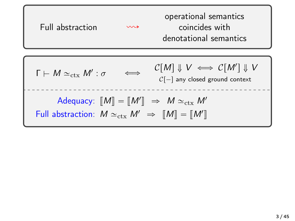| Full abstraction                                                         | operational semantics |     |
|--------------------------------------------------------------------------|-----------------------|-----|
| Full abstraction                                                         | 300                   | 100 |
| Concides with<br>denotational semantics                                  |                       |     |
| From the image, we can use a $C[M] \Downarrow V \iff C[M'] \Downarrow V$ |                       |     |
| From the image, we can use a $C[M] \Downarrow V \iff C[M'] \Downarrow V$ |                       |     |
| Adequacy: $[[M]] = [[M']] \Rightarrow M \cong_{\text{ctx}} M'$           |                       |     |
| Full abstraction: $M \cong_{\text{ctx}} M' \Rightarrow [[M]] = [[M']]$   |                       |     |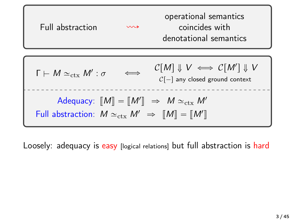

Loosely: adequacy is easy *[logical relations]* but full abstraction is hard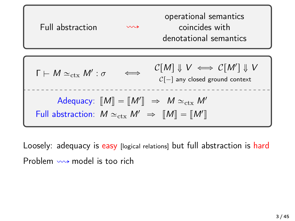| Full abstraction                                                                                                                                                 | operational semantics |                                          |
|------------------------------------------------------------------------------------------------------------------------------------------------------------------|-----------------------|------------------------------------------|
| Full abstraction                                                                                                                                                 | www                   | coincides with<br>denotational semantics |
| $\Gamma \vdash M \simeq_{\text{ctx}} M' : \sigma \iff C[M] \Downarrow V \iff C[M'] \Downarrow V$                                                                 |                       |                                          |
| $\Gamma \vdash M \simeq_{\text{ctx}} M' : \sigma \iff C[-]$ any closed ground context<br>Adequacy: $[\![M]\!] = [\![M']\!] \Rightarrow M \simeq_{\text{ctx}} M'$ |                       |                                          |
| Full abstraction: $M \simeq_{\text{ctx}} M' \Rightarrow [\![M]\!] = [\![M']\!]$                                                                                  |                       |                                          |

Loosely: adequacy is easy [logical relations] but full abstraction is hard Problem  $\rightsquigarrow$  model is too rich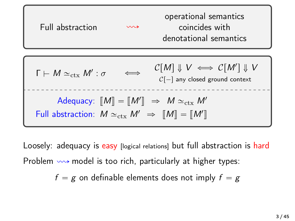| Full abstraction                                                                                                                                                 | operational semantics |                                          |
|------------------------------------------------------------------------------------------------------------------------------------------------------------------|-----------------------|------------------------------------------|
| Full abstraction                                                                                                                                                 | www                   | coincides with<br>denotational semantics |
| $\Gamma \vdash M \simeq_{\text{ctx}} M' : \sigma \iff C[M] \Downarrow V \iff C[M'] \Downarrow V$                                                                 |                       |                                          |
| $\Gamma \vdash M \simeq_{\text{ctx}} M' : \sigma \iff C[-]$ any closed ground context<br>Adequacy: $[\![M]\!] = [\![M']\!] \Rightarrow M \simeq_{\text{ctx}} M'$ |                       |                                          |
| Full abstraction: $M \simeq_{\text{ctx}} M' \Rightarrow [\![M]\!] = [\![M']\!]$                                                                                  |                       |                                          |

Loosely: adequacy is easy [logical relations] but full abstraction is hard Problem  $\sim$  model is too rich, particularly at higher types:

 $f = g$  on definable elements does not imply  $f = g$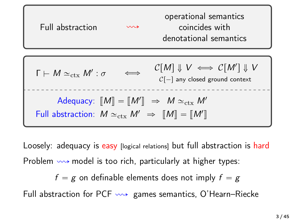| Full abstraction                                                                                                                                                 | operational semantics |                                          |
|------------------------------------------------------------------------------------------------------------------------------------------------------------------|-----------------------|------------------------------------------|
| Full abstraction                                                                                                                                                 | www                   | coincides with<br>denotational semantics |
| $\Gamma \vdash M \simeq_{\text{ctx}} M' : \sigma \iff C[M] \Downarrow V \iff C[M'] \Downarrow V$                                                                 |                       |                                          |
| $\Gamma \vdash M \simeq_{\text{ctx}} M' : \sigma \iff C[-]$ any closed ground context<br>Adequacy: $[\![M]\!] = [\![M']\!] \Rightarrow M \simeq_{\text{ctx}} M'$ |                       |                                          |
| Full abstraction: $M \simeq_{\text{ctx}} M' \Rightarrow [\![M]\!] = [\![M']\!]$                                                                                  |                       |                                          |

Loosely: adequacy is easy [logical relations] but full abstraction is hard Problem  $\sim$  model is too rich, particularly at higher types:

 $f = g$  on definable elements does not imply  $f = g$ 

Full abstraction for PCF  $\leadsto$  games semantics, O'Hearn–Riecke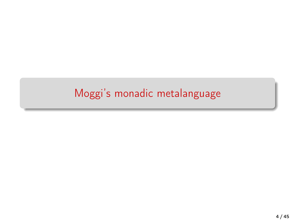# <span id="page-9-0"></span>[Moggi's monadic metalanguage](#page-9-0)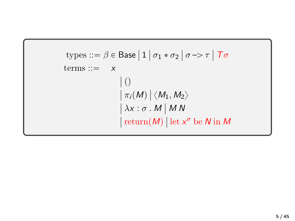types ::= 
$$
\beta \in \text{Base} | 1 | \sigma_1 * \sigma_2 | \sigma \rightarrow \tau | T \sigma
$$
  
terms ::=  $\times$   
 $| ()$   
 $| \pi_i(M) | \langle M_1, M_2 \rangle$   
 $| \lambda x : \sigma \cdot M | M N$   
 $| \text{return}(M) | \text{let } x^{\sigma} \text{ be } N \text{ in } M$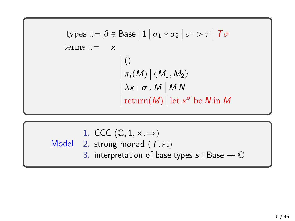types ::= 
$$
\beta \in \text{Base} | 1 | \sigma_1 * \sigma_2 | \sigma \rightarrow \tau | T \sigma
$$
  
terms ::= x  

$$
| ()
$$

$$
|\pi_i(M)| \langle M_1, M_2 \rangle
$$

$$
|\lambda x : \sigma \cdot M | MN
$$

$$
|\text{return}(M)| \text{let } x^{\sigma} \text{ be } N \text{ in } M
$$

Model 1. CCC pC, 1, ˆ, ñq 2. strong monad pT,stq 3. interpretation of base types s : Base Ñ C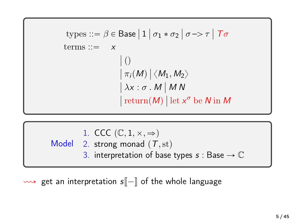types ::= 
$$
\beta \in \text{Base} | 1 | \sigma_1 * \sigma_2 | \sigma \rightarrow \tau | T \sigma
$$
  
terms ::= x  

$$
| ()
$$

$$
|\pi_i(M) | \langle M_1, M_2 \rangle
$$

$$
|\lambda x : \sigma \cdot M | MN
$$

$$
| return(M) | let x^{\sigma} be N in M
$$

Model 1. CCC pC, 1, ˆ, ñq 2. strong monad pT,stq 3. interpretation of base types s : Base Ñ C

 $\rightarrow$  get an interpretation s[ $-$ ] of the whole language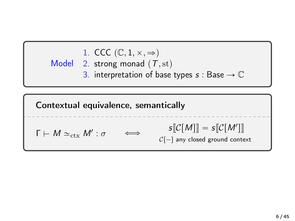

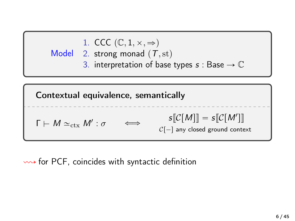1. CCC 
$$
(\mathbb{C}, 1, \times, \Rightarrow)
$$

Model 2. strong monad  $(\mathcal{T},\mathrm{st})$ 

3. interpretation of base types s : Base  $\rightarrow \mathbb{C}$ 



 $\rightarrow$  for PCF, coincides with syntactic definition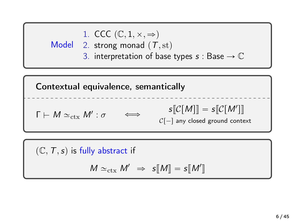1. CCC 
$$
(\mathbb{C}, 1, \times, \Rightarrow)
$$

Model 2. strong monad  $(T,\mathrm{st})$ 

3. interpretation of base types  $s :$  Base  $\rightarrow \mathbb{C}$ 

| Contextual equivalence, semantically                                                             |
|--------------------------------------------------------------------------------------------------|
| $\Gamma \vdash M \simeq_{\text{ctx}} M' : \sigma \iff S[[\mathcal{C}[M]]] = s[[\mathcal{C}[M']]$ |

 $(C, T, s)$  is fully abstract if

$$
M \simeq_{\mathrm{ctx}} M' \Rightarrow s[M] = s[M']
$$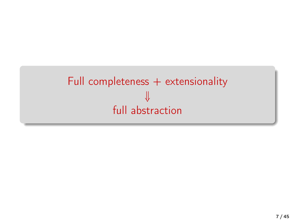# <span id="page-16-0"></span>[Full completeness + extensionality](#page-16-0) [ó](#page-16-0) [full abstraction](#page-16-0)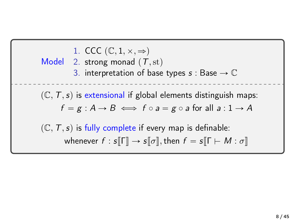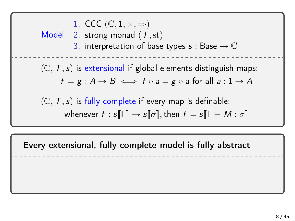Model 2. strong monad  $(T,\mathrm{st})$ 1. CCC  $(\mathbb{C}, 1, \times, \Rightarrow)$ 3. interpretation of base types  $s :$  Base  $\rightarrow \mathbb{C}$  $(C, T, s)$  is extensional if global elements distinguish maps:  $f = g : A \rightarrow B \iff f \circ a = g \circ a$  for all  $a : 1 \rightarrow A$  $(\mathbb{C},\mathcal{T},s)$  is fully complete if every map is definable: whenever  $f : s[\![\Gamma]\!] \to s[\![\sigma]\!]$ , then  $f = s[\![\Gamma \vdash M : \sigma]\!]$ 

Every extensional, fully complete model is fully abstract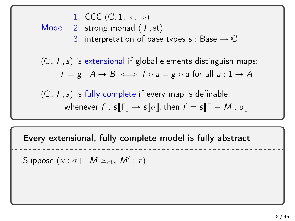Model 2. strong monad  $(\mathcal{T},\mathrm{st})$ 1. CCC  $(\mathbb{C}, 1, \times, \Rightarrow)$ 3. interpretation of base types  $s :$  Base  $\rightarrow \mathbb{C}$  $(C, T, s)$  is extensional if global elements distinguish maps:  $f = g : A \rightarrow B \iff f \circ a = g \circ a$  for all  $a : 1 \rightarrow A$  $(C, T, s)$  is fully complete if every map is definable: whenever  $f : s[[\Gamma]] \to s[[\sigma]]$ , then  $f = s[[\Gamma \vdash M : \sigma]]$ 

Every extensional, fully complete model is fully abstract

Suppose  $(x : \sigma \vdash M \simeq_{\text{ctx}} M' : \tau)$ .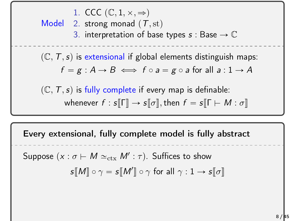Model 1. CCC  $(\mathbb{C}, 1, \times, \Rightarrow)$ 2. strong monad  $(T, st)$ 3. interpretation of base types  $s :$  Base  $\rightarrow \mathbb{C}$  $(C, T, s)$  is extensional if global elements distinguish maps:  $f = g : A \rightarrow B \iff f \circ a = g \circ a$  for all  $a : 1 \rightarrow A$  $(C, T, s)$  is fully complete if every map is definable: whenever  $f : s[[\Gamma]] \to s[[\sigma]]$ , then  $f = s[[\Gamma \vdash M : \sigma]]$ 

Every extensional, fully complete model is fully abstract

Suppose  $(x : \sigma \vdash M \simeq_{\text{ctx}} M' : \tau)$ . Suffices to show

 $s[\![M]\!] \circ \gamma = s[\![M']\!] \circ \gamma$  for all  $\gamma: 1 \to s[\![\sigma]\!]$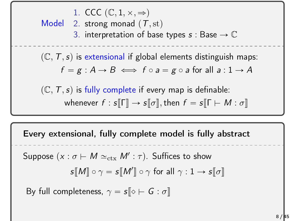Model 1. CCC  $(\mathbb{C}, 1, \times, \Rightarrow)$ 2. strong monad  $(\mathcal{T},\mathrm{st})$ 3. interpretation of base types  $s :$  Base  $\rightarrow \mathbb{C}$  $(C, T, s)$  is extensional if global elements distinguish maps:  $f = g : A \rightarrow B \iff f \circ a = g \circ a$  for all  $a : 1 \rightarrow A$  $(C, T, s)$  is fully complete if every map is definable: whenever  $f : s[[\Gamma]] \to s[[\sigma]]$ , then  $f = s[[\Gamma \vdash M : \sigma]]$ 

Every extensional, fully complete model is fully abstract

Suppose  $(x : \sigma \vdash M \simeq_{\text{ctx}} M' : \tau)$ . Suffices to show

 $s[\![M]\!] \circ \gamma = s[\![M']\!] \circ \gamma$  for all  $\gamma: 1 \to s[\![\sigma]\!]$ 

By full completeness,  $\gamma = s \llbracket \diamond \vdash G : \sigma \rrbracket$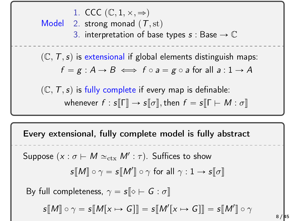Model 1. CCC  $(\mathbb{C}, 1, \times, \Rightarrow)$ 2. strong monad  $(T, st)$ 3. interpretation of base types  $s :$  Base  $\rightarrow \mathbb{C}$  $(C, T, s)$  is extensional if global elements distinguish maps:  $f = g : A \rightarrow B \iff f \circ a = g \circ a$  for all  $a : 1 \rightarrow A$  $(C, T, s)$  is fully complete if every map is definable: whenever  $f : s[[\Gamma]] \to s[[\sigma]]$ , then  $f = s[[\Gamma \vdash M : \sigma]]$ 

Every extensional, fully complete model is fully abstract

Suppose  $(x : \sigma \vdash M \simeq_{\text{ctx}} M' : \tau)$ . Suffices to show

 $s[\![M]\!] \circ \gamma = s[\![M']\!] \circ \gamma$  for all  $\gamma: 1 \to s[\![\sigma]\!]$ 

By full completeness,  $\gamma = s \llbracket \diamond \vdash G : \sigma \rrbracket$ 

 $s[\![M]\!] \circ \gamma = s[\![M[\![x \mapsto G]\!]]= s[\![M'[\![x \mapsto G]\!]]= s[\![M']\!] \circ \gamma$ 

8 / 45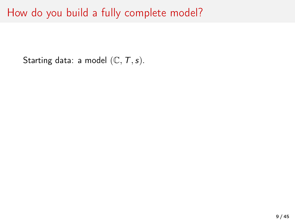### How do you build a fully complete model?

Starting data: a model  $(\mathbb{C},T,s)$ .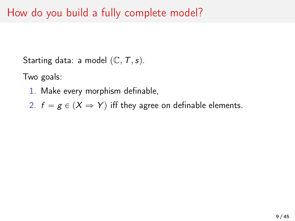Two goals:

1. Make every morphism definable,

2.  $f = g \in (X \Rightarrow Y)$  iff they agree on definable elements.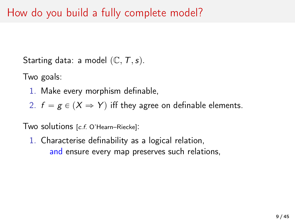Two goals:

1. Make every morphism definable,

2.  $f = g \in (X \Rightarrow Y)$  iff they agree on definable elements.

Two solutions [c.f. O'Hearn–Riecke]:

1. Characterise definability as a logical relation, and ensure every map preserves such relations,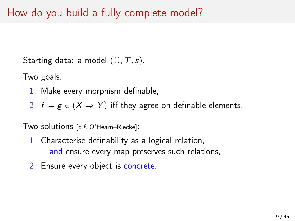Two goals:

1. Make every morphism definable,

2.  $f = g \in (X \Rightarrow Y)$  iff they agree on definable elements.

Two solutions [c.f. O'Hearn–Riecke]:

- 1. Characterise definability as a logical relation, and ensure every map preserves such relations,
- 2. Ensure every object is concrete.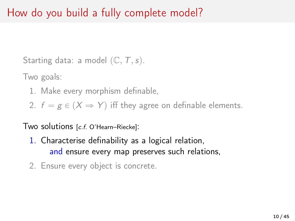Two goals:

1. Make every morphism definable,

2.  $f = g \in (X \Rightarrow Y)$  iff they agree on definable elements.

Two solutions [c.f. O'Hearn–Riecke]:

- 1. Characterise definability as a logical relation, and ensure every map preserves such relations,
- 2. Ensure every object is concrete.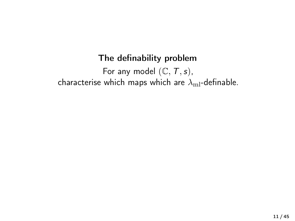#### The definability problem

For any model  $(\mathbb{C},\mathcal{T},s)$ , characterise which maps which are  $\lambda_{\rm ml}$ -definable.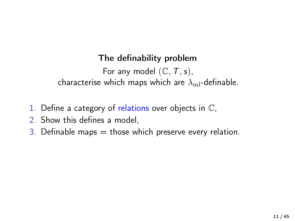#### The definability problem

For any model  $(\mathbb{C},\mathcal{T},s)$ , characterise which maps which are  $\lambda_{\rm ml}$ -definable.

- 1. Define a category of relations over objects in  $\mathbb C$ ,
- 2. Show this defines a model,
- 3. Definable maps  $=$  those which preserve every relation.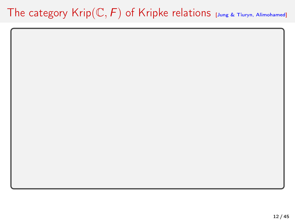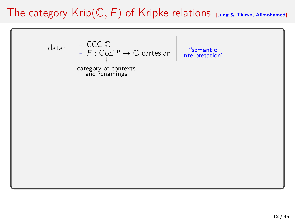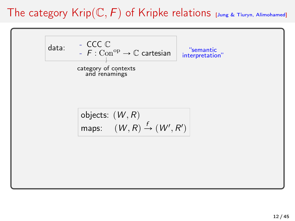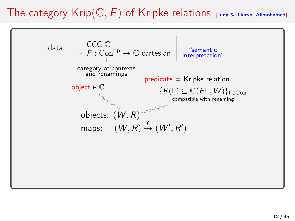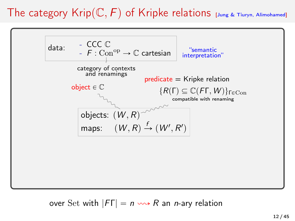

over Set with  $|F\Gamma| = n \leadsto R$  an *n*-ary relation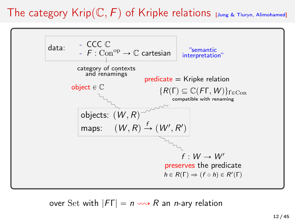

over Set with  $|F\Gamma| = n \leadsto R$  an *n*-ary relation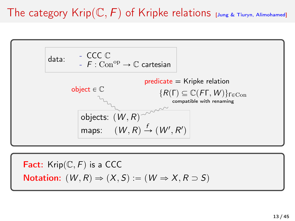## The category  $\text{Krip}(\mathbb{C}, F)$  of Kripke relations [Jung & Tiuryn, Alimohamed]



**Fact:** Krip(C, F) is a CCC  
**Notation:** 
$$
(W, R) \Rightarrow (X, S) := (W \Rightarrow X, R \supset S)
$$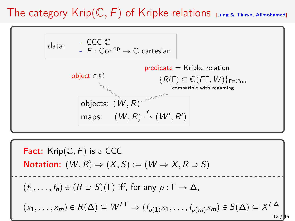## The category  $\text{Krip}(\mathbb{C}, F)$  of Kripke relations [Jung & Tiuryn, Alimohamed]



Fact: KrippC, Fq is a CCC Notation: pW , Rq ñ pX, Sq :" pW ñ X, R Ą Sq pf1, . . . , fnq P pR Ą SqpΓq iff, for any ρ : Γ Ñ ∆, px1, . . . , xmq P Rp∆q Ď W <sup>F</sup><sup>Γ</sup> ñ pfρp1qx1, . . . , fρpmqxmq P Sp∆q Ď X F∆ 13 / 45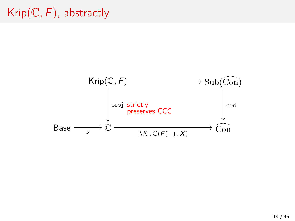# Krip $(\mathbb{C}, F)$ , abstractly

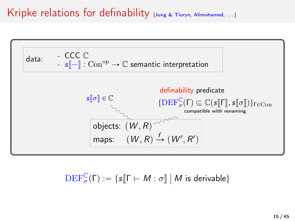#### Kripke relations for definability  $\mu_{\text{Jung & Tiuryn, Alimohamed, ...}}$



$$
\text{DEF}^{\mathbb{C}}_{\sigma}(\Gamma) := \{s[\![\Gamma \vdash M : \sigma]\!] \bigm| M \text{ is derivable}\}
$$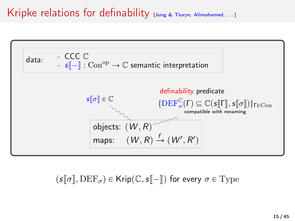#### Kripke relations for definability  $\mu_{\text{Jung & Tiuryn, Alimohamed, ...}}$



 $(s\llbracket \sigma \rrbracket, \text{DEF}_{\sigma}) \in \mathsf{Krip}(\mathbb{C}, s\llbracket - \rrbracket)$  for every  $\sigma \in \text{Type}$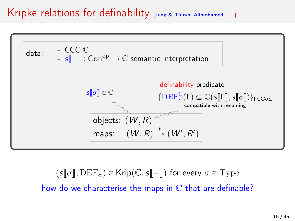#### Kripke relations for definability  $J_{\text{Jung & Tiuryn, Alimohamed, ...}}$



 $(s\llbracket \sigma \rrbracket, \text{DEF}_{\sigma}) \in \text{Krip}(\mathbb{C}, s\llbracket - \rrbracket)$  for every  $\sigma \in \text{Type}$ how do we characterise the maps in  $\mathbb C$  that are definable?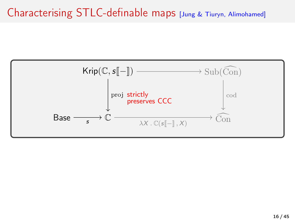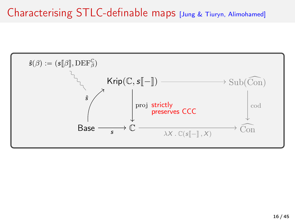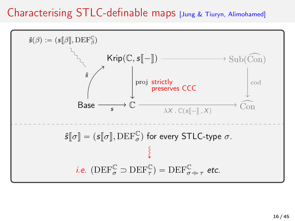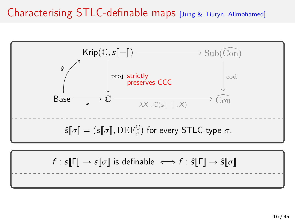

 $f : s[[\Gamma]] \to s[[\sigma]]$  is definable  $\iff f : \hat{s}[[\Gamma]] \to \hat{s}[[\sigma]]$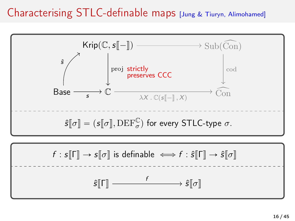

$$
f: s[\![\Gamma]\!] \to s[\![\sigma]\!] \text{ is definable } \Longleftrightarrow f: \widehat{s}[\![\Gamma]\!] \to \widehat{s}[\![\sigma]\!]
$$

$$
\widehat{s}[\![\Gamma]\!] \xrightarrow{f} \widehat{s}[\![\sigma]\!]
$$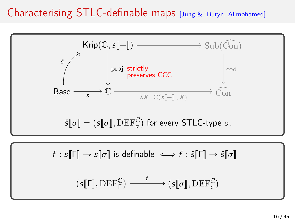

$$
f: s[\![\Gamma]\!] \to s[\![\sigma]\!]
$$
 is definable  $\iff$   $f: \hat{s}[\![\Gamma]\!] \to \hat{s}[\![\sigma]\!]$ 
$$
(s[\![\Gamma]\!], \text{DEF}_{\Gamma}^{\mathbb{C}}) \xrightarrow{f} (s[\![\sigma]\!], \text{DEF}_{\sigma}^{\mathbb{C}})
$$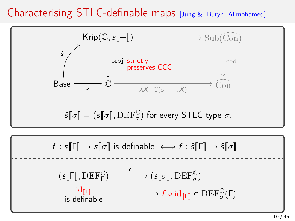

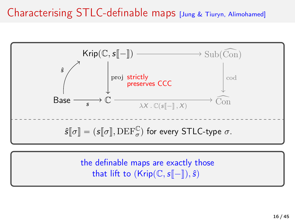

the definable maps are exactly those that lift to  $(Krip(\mathbb{C},s[\![-]\!]),\hat{s})$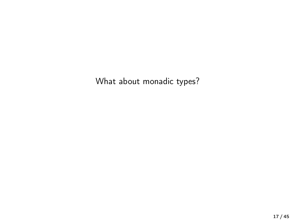What about monadic types?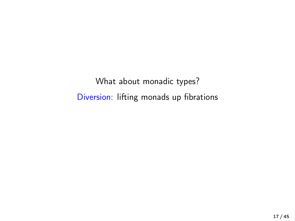What about monadic types? Diversion: lifting monads up fibrations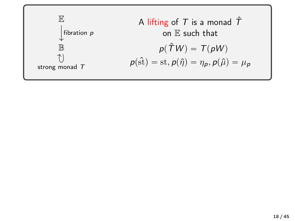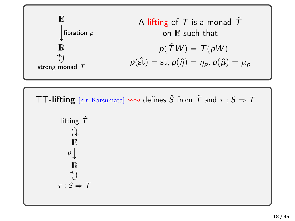

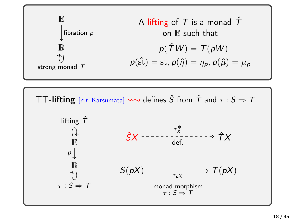

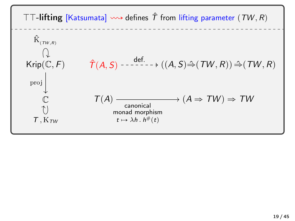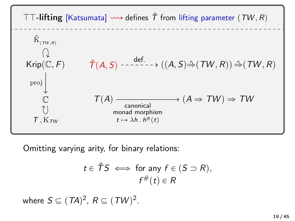

Omitting varying arity, for binary relations:

$$
t \in \hat{T}S \iff \text{for any } f \in (S \supset R),
$$
  
 $f^{\#}(t) \in R$ 

where  $S \subseteq (TA)^2$ ,  $R \subseteq (TW)^2$ .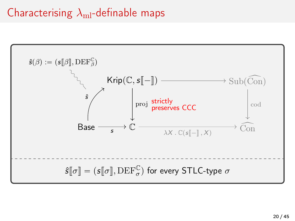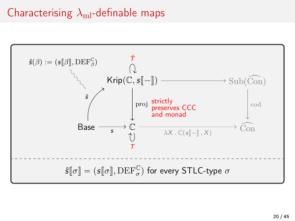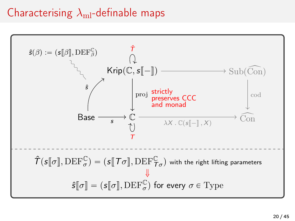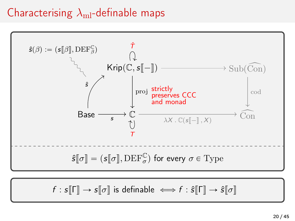

 $f : s \llbracket \Gamma \rrbracket \rightarrow s \llbracket \sigma \rrbracket$  is definable  $\iff f : \hat{s} \llbracket \Gamma \rrbracket \rightarrow \hat{s} \llbracket \sigma \rrbracket$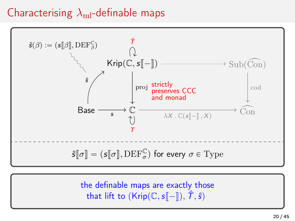

the definable maps are exactly those that lift to  $(Krip(\mathbb{C},s[\![-]\!]), \hat{T},\hat{s})$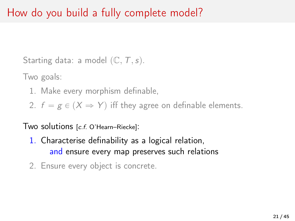Starting data: a model  $(\mathbb{C},T,s)$ .

Two goals:

1. Make every morphism definable,

2.  $f = g \in (X \Rightarrow Y)$  iff they agree on definable elements.

Two solutions [c.f. O'Hearn–Riecke]:

- 1. Characterise definability as a logical relation, and ensure every map preserves such relations
- 2. Ensure every object is concrete.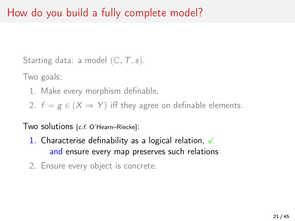Starting data: a model  $(\mathbb{C},T,s)$ .

Two goals:

1. Make every morphism definable,

2.  $f = g \in (X \Rightarrow Y)$  iff they agree on definable elements.

Two solutions [c.f. O'Hearn–Riecke]:

- 1. Characterise definability as a logical relation,  $\checkmark$ and ensure every map preserves such relations
- 2. Ensure every object is concrete.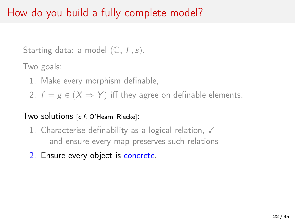## How do you build a fully complete model?

Starting data: a model  $(\mathbb{C},T,s)$ .

Two goals:

1. Make every morphism definable,

2.  $f = g \in (X \Rightarrow Y)$  iff they agree on definable elements.

#### Two solutions [c.f. O'Hearn–Riecke]:

- 1. Characterise definability as a logical relation,  $\sqrt$ and ensure every map preserves such relations
- 2. Ensure every object is concrete.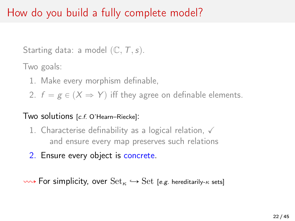## How do you build a fully complete model?

Starting data: a model  $(\mathbb{C},T,s)$ .

Two goals:

1. Make every morphism definable,

2.  $f = g \in (X \Rightarrow Y)$  iff they agree on definable elements.

#### Two solutions [c.f. O'Hearn–Riecke]:

- 1. Characterise definability as a logical relation,  $\sqrt$ and ensure every map preserves such relations
- 2. Ensure every object is concrete.

 $\rightarrow$  For simplicity, over  $\text{Set}_{\kappa} \hookrightarrow \text{Set}$  [e.g. hereditarily- $\kappa$  sets]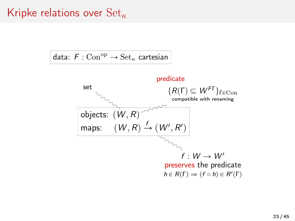#### Kripke relations over  $\operatorname{Set}_{\kappa}$

data:  $F: \text{Con}^{\text{op}} \to \text{Set}_{\kappa}$  cartesian

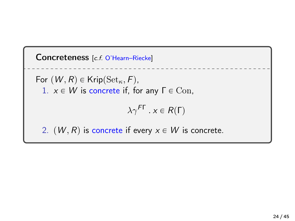Concreteness [c.f. O'Hearn–Riecke] For  $(W, R) \in$  Krip $(\text{Set}_{\kappa}, F)$ , 1.  $x \in W$  is concrete if, for any  $\Gamma \in \text{Con}$ ,  $\lambda \gamma^{F\Gamma}$  .  $x \in R(\Gamma)$ 2.  $(W, R)$  is concrete if every  $x \in W$  is concrete.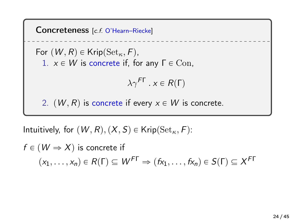Concreteness [c.f. O'Hearn–Riecke] For  $(W, R) \in$  Krip $(\text{Set}_{\kappa}, F)$ , 1.  $x \in W$  is concrete if, for any  $\Gamma \in \text{Con}$ ,  $\lambda \gamma^{F\Gamma}$  .  $x \in R(\Gamma)$ 2.  $(W, R)$  is concrete if every  $x \in W$  is concrete.

Intuitively, for  $(W, R), (X, S) \in$  Krip $(\text{Set}_{\kappa}, F)$ :

$$
f \in (W \Rightarrow X) \text{ is concrete if}
$$

$$
(x_1, \dots, x_n) \in R(\Gamma) \subseteq W^{FT} \Rightarrow (f x_1, \dots, f x_n) \in S(\Gamma) \subseteq X^{FT}
$$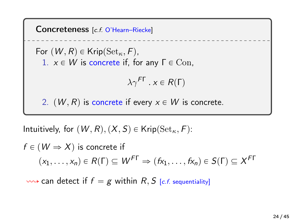Concreteness [c.f. O'Hearn–Riecke]

For  $(W, R) \in$  Krip $(\text{Set}_{\kappa}, F)$ , 1.  $x \in W$  is concrete if, for any  $\Gamma \in \text{Con}$ ,

 $\lambda \gamma^{F\Gamma}$  .  $x \in R(\Gamma)$ 

2.  $(W, R)$  is concrete if every  $x \in W$  is concrete.

Intuitively, for  $(W, R), (X, S) \in$  Krip $(\text{Set}_{\kappa}, F)$ :

$$
f \in (W \Rightarrow X) \text{ is concrete if}
$$

$$
(x_1, \dots, x_n) \in R(\Gamma) \subseteq W^{FT} \Rightarrow (f x_1, \dots, f x_n) \in S(\Gamma) \subseteq X^{FT}
$$

 $\rightarrow$  can detect if  $f = g$  within R, S [c.f. sequentiality]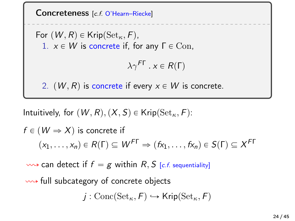Concreteness [c.f. O'Hearn–Riecke] For  $(W, R) \in$  Krip $(\text{Set}_{\kappa}, F)$ , 1.  $x \in W$  is concrete if, for any  $\Gamma \in \text{Con}$ ,  $\lambda \gamma^{F\Gamma}$  .  $x \in R(\Gamma)$ 2.  $(W, R)$  is concrete if every  $x \in W$  is concrete.

Intuitively, for  $(W, R), (X, S) \in$  Krip $(\text{Set}_{\kappa}, F)$ :

$$
f \in (W \Rightarrow X) \text{ is concrete if}
$$

$$
(x_1, \dots, x_n) \in R(\Gamma) \subseteq W^{FT} \Rightarrow (f x_1, \dots, f x_n) \in S(\Gamma) \subseteq X^{FT}
$$

 $\rightarrow$  can detect if  $f = g$  within R, S [c.f. sequentiality]

was full subcategory of concrete objects

$$
j: \mathrm{Conc}(\mathrm{Set}_{\kappa}, F) \hookrightarrow \mathsf{Krip}(\mathrm{Set}_{\kappa}, F)
$$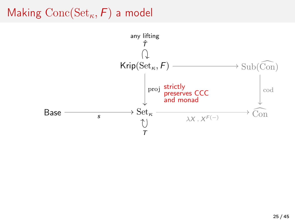## Making  $Conc(Set_{\kappa}, F)$  a model

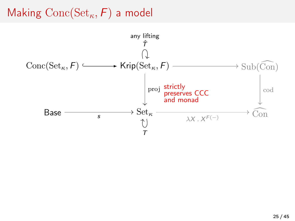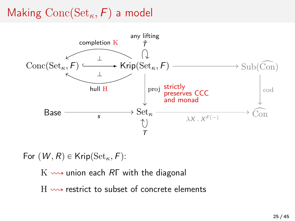

For  $(W, R) \in$  Krip $(\text{Set}_{\kappa}, F)$ :

 $K \sim$  union each RΓ with the diagonal

 $H \rightarrow$  restrict to subset of concrete elements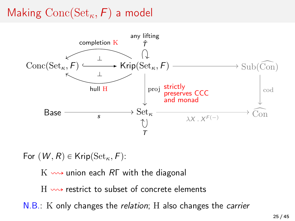

For  $(W, R) \in$  Krip $(\text{Set}_{\kappa}, F)$ :

 $K \sim$  union each RΓ with the diagonal  $H \rightarrow$  restrict to subset of concrete elements N.B.: K only changes the *relation*; H also changes the *carrier*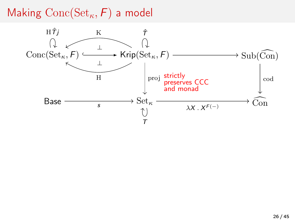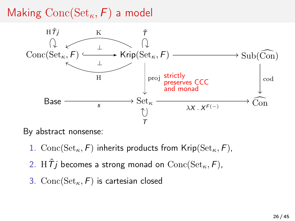

By abstract nonsense:

- 1. Conc $(\mathrm{Set}_{\kappa}, F)$  inherits products from Krip $(\mathrm{Set}_{\kappa}, F)$ ,
- 2. H $\hat{T}$ j becomes a strong monad on  $Conc(\operatorname{Set}_{\kappa}, F)$ ,
- 3. Conc $(\mathsf{Set}_{\kappa}, F)$  is cartesian closed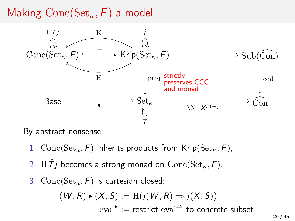

By abstract nonsense:

- 1. Conc(Set<sub> $\kappa$ </sub>, F) inherits products from Krip(Set<sub> $\kappa$ </sub>, F),
- 2. H $\hat{T}j$  becomes a strong monad on  $Conc(\text{Set}_{\kappa}, F)$ ,

3. 
$$
Conc(\text{Set}_{\kappa}, F)
$$
 is cartesian closed:  $(W, R) \triangleright (X, S) := H(j(W, R) \Rightarrow j(X, S))$   $eval^* :=$  restrict eval<sup>\*</sup> to concrete subset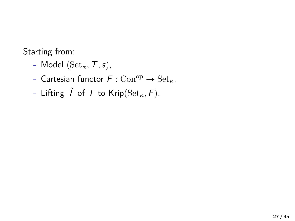Starting from:

- Model  $(\operatorname{Set}_{\kappa},\mathcal{T},s),$
- Cartesian functor  $F: \text{Con}^{\text{op}} \to \text{Set}_{\kappa}$ ,
- Lifting  $\hat{T}$  of  $T$  to Krip( $\text{Set}_{\kappa}, F$ ).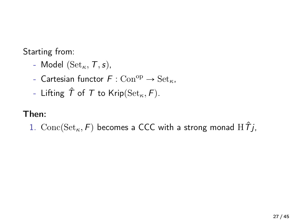Starting from:

- Model  $(\mathbf{Set}_{\kappa},\mathcal{T},s),$
- Cartesian functor  $F: \text{Con}^{\text{op}} \to \text{Set}_{\kappa}$ ,
- Lifting  $\hat{T}$  of T to Krip( $\text{Set}_{\kappa}, F$ ).

#### Then:

1. Conc(Set<sub> $\kappa$ </sub>, F) becomes a CCC with a strong monad H $\hat{T}$  *j*,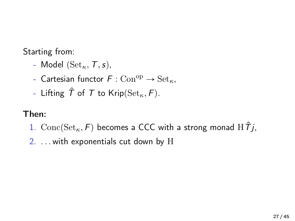Starting from:

- Model  $(\mathbf{Set}_{\kappa},\mathcal{T},s),$
- Cartesian functor  $F: \text{Con}^{\text{op}} \to \text{Set}_{\kappa}$ ,
- Lifting  $\hat{T}$  of T to Krip( $\text{Set}_{\kappa}, F$ ).

#### Then:

- 1. Conc(Set<sub>k</sub>, F) becomes a CCC with a strong monad H $T$ *j*,
- 2. . . . with exponentials cut down by H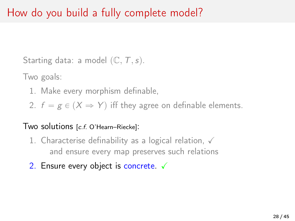Starting data: a model  $(\mathbb{C},T,s)$ .

Two goals:

1. Make every morphism definable,

2.  $f = g \in (X \Rightarrow Y)$  iff they agree on definable elements.

#### Two solutions [c.f. O'Hearn–Riecke]:

- 1. Characterise definability as a logical relation,  $\sqrt$ and ensure every map preserves such relations
- 2. Ensure every object is concrete.  $\sqrt{ }$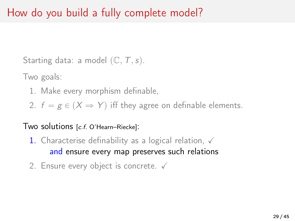Starting data: a model  $(\mathbb{C},T,s)$ .

Two goals:

1. Make every morphism definable,

2.  $f = g \in (X \Rightarrow Y)$  iff they agree on definable elements.

#### Two solutions [c.f. O'Hearn–Riecke]:

- 1. Characterise definability as a logical relation,  $\sqrt{ }$ and ensure every map preserves such relations
- 2. Ensure every object is concrete.  $\checkmark$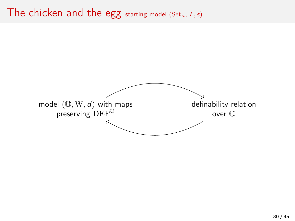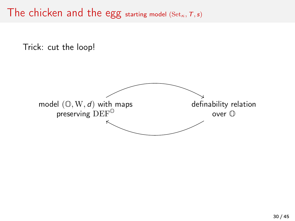Trick: cut the loop!

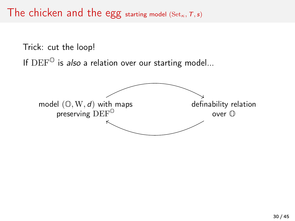Trick: cut the loop! If  $DEF^{\mathbb{O}}$  is also a relation over our starting model... model  $(\mathbb{O}, W, d)$  with maps preserving DEF<sup>O</sup> definability relation over O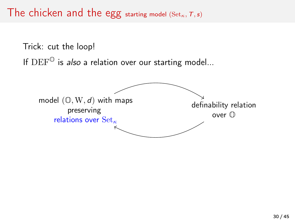### The chicken and the egg starting model (Set<sub>K</sub>,  $T$ , s)

Trick: cut the loop! If  $DEF^{\mathbb{O}}$  is also a relation over our starting model... model  $(\mathbb{O}, W, d)$  with maps preserving relations over  $\operatorname{Set}_{\kappa}$ definability relation over O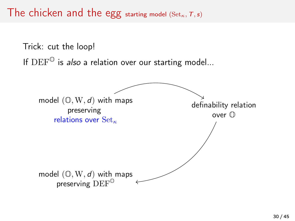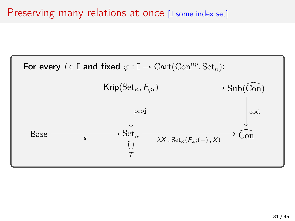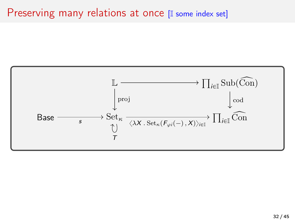### Preserving many relations at once [I some index set]

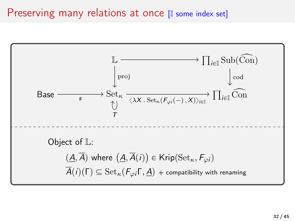#### Preserving many relations at once I some index set]

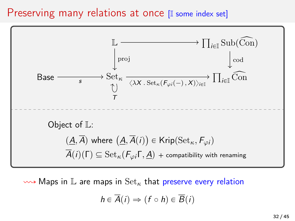#### Preserving many relations at once I some index set]



 $\sim$  Maps in L are maps in  $Set_{\kappa}$  that preserve every relation

$$
h\in \overline{A}(i)\Rightarrow (f\circ h)\in \overline{B}(i)
$$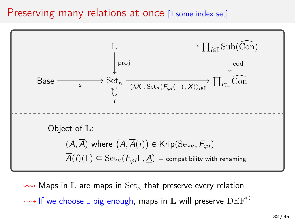#### Preserving many relations at once I some index set]



 $\sim$  Maps in L are maps in  $Set_{\kappa}$  that preserve every relation  $\rightsquigarrow$  If we choose I big enough, maps in L will preserve  $DEF^{\mathbb{O}}$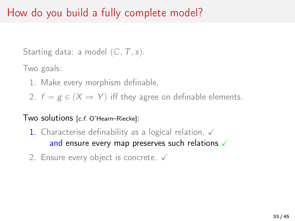## How do you build a fully complete model?

Starting data: a model  $(\mathbb{C},T,s)$ .

Two goals:

1. Make every morphism definable,

2.  $f = g \in (X \Rightarrow Y)$  iff they agree on definable elements.

#### Two solutions [c.f. O'Hearn-Riecke]:

- 1. Characterise definability as a logical relation,  $\sqrt{ }$ and ensure every map preserves such relations  $\sqrt{}$
- 2. Ensure every object is concrete.  $\checkmark$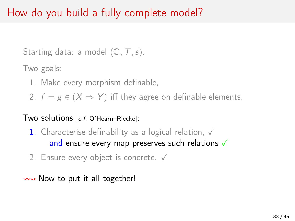## How do you build a fully complete model?

Starting data: a model  $(\mathbb{C},T,s)$ .

Two goals:

1. Make every morphism definable,

2.  $f = g \in (X \Rightarrow Y)$  iff they agree on definable elements.

#### Two solutions [c.f. O'Hearn-Riecke]:

- 1. Characterise definability as a logical relation,  $\sqrt{ }$ and ensure every map preserves such relations  $\sqrt{}$
- 2. Ensure every object is concrete.  $\checkmark$

 $\rightsquigarrow$  Now to put it all together!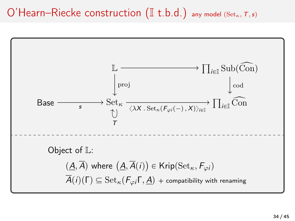### O'Hearn–Riecke construction  $(\mathbb{I} t.b.d.)$  any model (Set<sub>k</sub>,  $T, s$ )

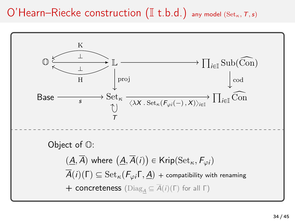### O'Hearn–Riecke construction  $(\mathbb{I} t.b.d.)$  any model (Set<sub>k</sub>,  $T, s$ )

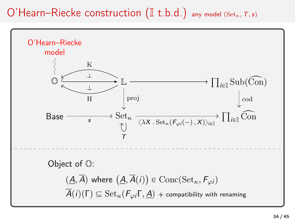### O'Hearn–Riecke construction  $(\mathbb{I} t.b.d.)$  any model (Set<sub>k</sub>,  $T, s$ )

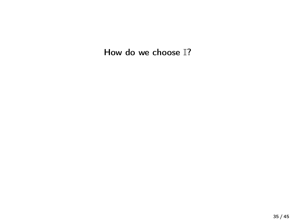How do we choose II?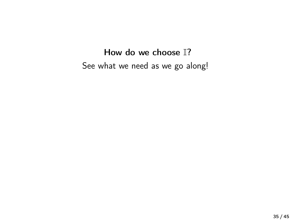How do we choose II? See what we need as we go along!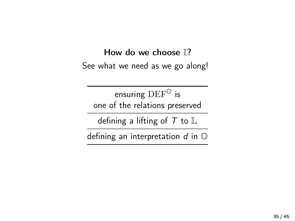How do we choose I? See what we need as we go along!

ensuring  $DEF^{\mathbb{O}}$  is one of the relations preserved

defining a lifting of  $T$  to  $\mathbb L$ 

defining an interpretation  $d$  in  $\mathbb O$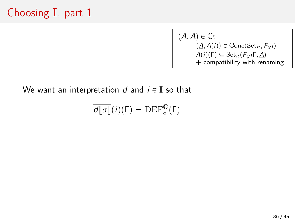$$
(\underline{A}, \overline{A}) \in \mathbb{O}: \n(\underline{A}, \overline{A}(i)) \in \text{Conc}(\text{Set}_{\kappa}, F_{\varphi i}) \n\overline{A}(i)(\Gamma) \subseteq \text{Set}_{\kappa}(F_{\varphi i}\Gamma, \underline{A}) \n+ \text{compatibility with renaming}
$$

$$
\overline{d[\![\sigma]\!]}(i)(\Gamma)=\text{DEF}_{\sigma}^{\mathbb{O}}(\Gamma)
$$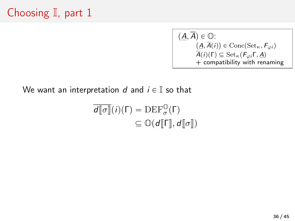$$
(\underline{A}, \overline{A}) \in \mathbb{O}: \n(\underline{A}, \overline{A}(i)) \in \text{Conc}(\text{Set}_{\kappa}, F_{\varphi i}) \n\overline{A}(i)(\Gamma) \subseteq \text{Set}_{\kappa}(F_{\varphi i}\Gamma, \underline{A}) \n+ compatibility with renaming
$$

$$
\overline{d[\![\sigma]\!]}(i)(\Gamma) = \mathrm{DEF}_{\sigma}^{\mathbb{O}}(\Gamma)
$$

$$
\subseteq \mathbb{O}(d[\![\Gamma]\!], d[\![\sigma]\!])
$$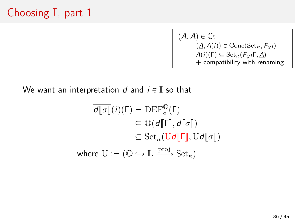$$
(\underline{A}, \overline{A}) \in \mathbb{O}: \n(\underline{A}, \overline{A}(i)) \in \text{Conc}(\text{Set}_{\kappa}, F_{\varphi i}) \n\overline{A}(i)(\Gamma) \subseteq \text{Set}_{\kappa}(F_{\varphi i}\Gamma, \underline{A}) \n+ \text{compatibility with renaming}
$$

$$
\overline{d[\![\sigma]\!]}(i)(\Gamma) = \text{DEF}_{\sigma}^{\mathbb{O}}(\Gamma)
$$

$$
\subseteq \mathbb{O}(d[\![\Gamma]\!], d[\![\sigma]\!])
$$

$$
\subseteq \text{Set}_{\kappa}(\text{U}d[\![\Gamma]\!], \text{U}d[\![\sigma]\!])
$$

$$
\text{where } \text{U} := (\mathbb{O} \hookrightarrow \mathbb{L} \xrightarrow{\text{proj}} \text{Set}_{\kappa})
$$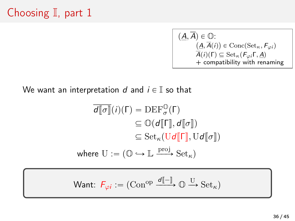$$
(\underline{A}, \overline{A}) \in \mathbb{O}: \n(\underline{A}, \overline{A}(i)) \in \text{Conc}(\text{Set}_{\kappa}, F_{\varphi i}) \n\overline{A}(i)(\Gamma) \subseteq \text{Set}_{\kappa}(F_{\varphi i}\Gamma, \underline{A}) \n+ \text{compatibility with renaming}
$$

$$
\overline{d[\![\sigma]\!]}(i)(\Gamma) = \text{DEF}_{\sigma}^{\mathbb{O}}(\Gamma)
$$

$$
\subseteq \mathbb{O}(d[\![\Gamma]\!], d[\![\sigma]\!])
$$

$$
\subseteq \text{Set}_{\kappa}(\text{U}d[\![\Gamma]\!], \text{U}d[\![\sigma]\!])
$$

$$
\text{where } \text{U} := (\mathbb{O} \hookrightarrow \mathbb{L} \xrightarrow{\text{proj}} \text{Set}_{\kappa})
$$

Want: 
$$
F_{\varphi i} := (\text{Con}^{\text{op}} \xrightarrow{d[\Box]} \mathbb{O} \xrightarrow{\text{U}} \text{Set}_{\kappa})
$$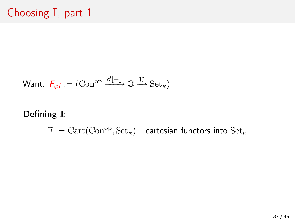$$
\text{Want: } F_{\varphi i} := (\text{Con}^{\text{op}} \xrightarrow{d[\![-]\!]} \mathbb{O} \xrightarrow{\text{U}} \text{Set}_{\kappa})
$$

#### Defining I:

 $\mathbb{F}:=\mathrm{Cart}(\mathrm{Con}^\mathrm{op},\mathrm{Set}_\kappa)$   $\bigm|$  cartesian functors into  $\mathrm{Set}_\kappa$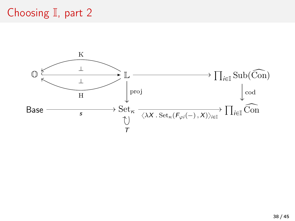## Choosing II, part 2

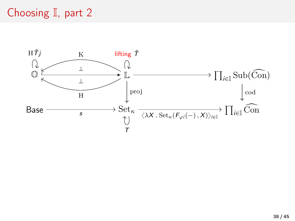## Choosing II, part 2

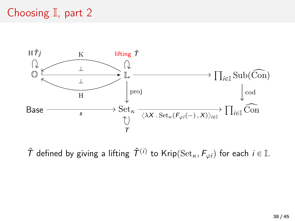# Choosing  $\mathbb{I}$ , part 2



 $\hat{\mathcal{T}}$  defined by giving a lifting  $\hat{\mathcal{T}}^{(i)}$  to Krip $(\mathrm{Set}_{\kappa}, F_{\varphi i})$  for each  $i \in \mathbb{I}$ .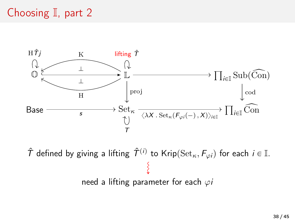# Choosing I, part 2



 $\hat{\mathcal{T}}$  defined by giving a lifting  $\hat{\mathcal{T}}^{(i)}$  to Krip $(\mathrm{Set}_{\kappa}, F_{\varphi i})$  for each  $i \in \mathbb{I}$ .  $\left\{ \begin{array}{c} 0 \\ 0 \end{array} \right.$ need a lifting parameter for each  $\varphi i$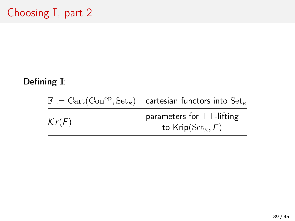#### Defining  $\mathbb{I}$ :

|                   | $\mathbb{F} := \text{Cart}(\text{Con}^{\text{op}}, \text{Set}_{\kappa})$ cartesian functors into $\text{Set}_{\kappa}$ |
|-------------------|------------------------------------------------------------------------------------------------------------------------|
| $\mathcal{K}r(F)$ | parameters for $TT$ -lifting<br>to Krip( $\text{Set}_{\kappa}, F$ )                                                    |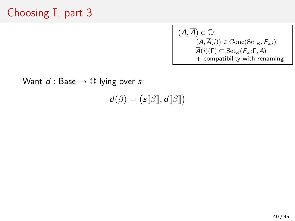$$
(\underline{A}, \overline{A}) \in \mathbb{O}: \n\underbrace{(A, \overline{A}(i)) \in \text{Conc}(\text{Set}_{\kappa}, F_{\varphi i})}_{\overline{A}(i)(\Gamma) \subseteq \text{Set}_{\kappa}(F_{\varphi i}\Gamma, \underline{A})}_{+ \text{compatibility with renaming}
$$

$$
d(\beta) = (s[\![\beta]\!], \overline{d[\![\beta]\!]})
$$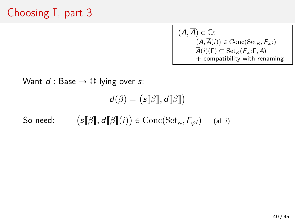$$
(\underline{A}, \overline{A}) \in \mathbb{O}: \n\underbrace{(A, \overline{A}(i))} \in \text{Conc}(\text{Set}_{\kappa}, F_{\varphi i}) \n\overline{A}(i)(\Gamma) \subseteq \text{Set}_{\kappa}(F_{\varphi i}\Gamma, \underline{A}) \n+ compatibility with renaming
$$

$$
d(\beta) = (s[\![\beta]\!], \overline{d[\![\beta]\!]})
$$

So need:  $\boldsymbol{s}[\![\beta]\!], \boldsymbol{d}[\![\beta]\!](i)$ ˘  $\in\text{Conc}(\text{Set}_{\kappa}, F_{\varphi i})$  (all *i*)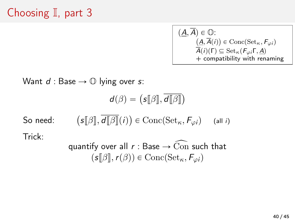$$
(\underline{A}, \overline{A}) \in \mathbb{O}: \n\underbrace{(A, \overline{A}(i))} \in \text{Conc}(\text{Set}_{\kappa}, F_{\varphi i}) \n\overline{A}(i)(\Gamma) \subseteq \text{Set}_{\kappa}(F_{\varphi i}\Gamma, \underline{A}) \n+ compatibility with renaming
$$

$$
d(\beta) = (s[\![\beta]\!], \overline{d[\![\beta]\!]})
$$

So need:  $\boldsymbol{s}[\![\beta]\!], \boldsymbol{d}[\![\beta]\!](i)$ ˘  $\in\text{Conc}(\text{Set}_{\kappa}, F_{\varphi i})$  (all *i*)

Trick:

$$
\begin{array}{c} \text{quantify over all} \ t: \text{Base} \to \widehat{\text{Con such that}} \\ \big(s[\![\beta]\!], r(\beta) \big) \in \text{Conc}(\text{Set}_\kappa, F_{\varphi i}) \end{array}
$$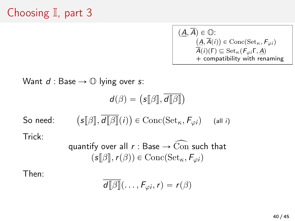$$
(\underline{A}, \overline{A}) \in \mathbb{O}: \n\underbrace{(A, \overline{A}(i))} \in \text{Conc}(\text{Set}_{\kappa}, F_{\varphi i}) \n\overline{A}(i)(\Gamma) \subseteq \text{Set}_{\kappa}(F_{\varphi i}\Gamma, \underline{A}) \n+ compatibility with renaming
$$

$$
d(\beta) = (s[\![\beta]\!], \overline{d[\![\beta]\!]})
$$

So need: 
$$
(s[\![\beta]\!], \overline{d[\![\beta]\!]}(i)) \in \text{Conc}(\text{Set}_{\kappa}, F_{\varphi i})
$$
 (all *i*)

Trick:

quantity over all 
$$
r: \text{Base} \to \widehat{\text{Con}} \text{ such that}
$$

\n
$$
(s[\![\beta]\!], r(\beta)) \in \text{Conc}(\text{Set}_{\kappa}, F_{\varphi i})
$$

Then:

$$
\overline{d[\![\beta]\!]}(\ldots,F_{\varphi i},r)=r(\beta)
$$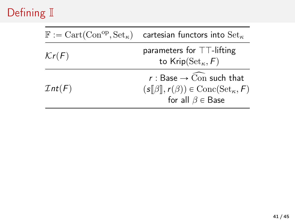# Defining II

|                        | $\mathbb{F} := \text{Cart}(\text{Con}^{\text{op}}, \text{Set}_{\kappa})$ cartesian functors into $\text{Set}_{\kappa}$                    |
|------------------------|-------------------------------------------------------------------------------------------------------------------------------------------|
| $\mathcal{K}r(F)$      | parameters for $TT$ -lifting<br>to Krip( $\text{Set}_{\kappa}, F$ )                                                                       |
| $\mathcal{I}$ nt $(F)$ | $r:$ Base $\rightarrow$ Con such that<br>$(s[\![\beta]\!], r(\beta)) \in \text{Conc}(\text{Set}_{\kappa}, F)$<br>for all $\beta \in$ Base |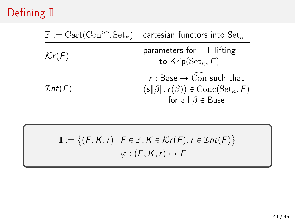# Defining II

|                                  | $\mathbb{F} := \text{Cart}(\text{Con}^{\text{op}}, \text{Set}_{\kappa})$ cartesian functors into $\text{Set}_{\kappa}$                             |
|----------------------------------|----------------------------------------------------------------------------------------------------------------------------------------------------|
| $\mathcal{K}r(F)$                | parameters for TT-lifting<br>to Krip( $\text{Set}_{\kappa}, F$ )                                                                                   |
| $\mathcal{I}$ nt $(\mathcal{F})$ | $r:$ Base $\rightarrow$ Con such that<br>$(s[\![\beta]\!], r(\beta)) \in \text{Conc}(\text{Set}_{\kappa}, F)$<br>for all $\beta \in \mathsf{Base}$ |

$$
\mathbb{I} := \{ (F, K, r) \mid F \in \mathbb{F}, K \in \mathcal{K}r(F), r \in \mathcal{I}nt(F) \}
$$

$$
\varphi : (F, K, r) \mapsto F
$$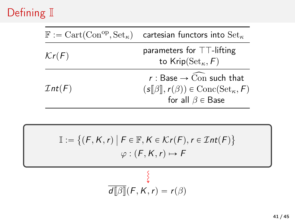# Defining II

|                                  | $\mathbb{F} := \text{Cart}(\text{Con}^{\text{op}}, \text{Set}_{\kappa})$ cartesian functors into $\text{Set}_{\kappa}$                   |
|----------------------------------|------------------------------------------------------------------------------------------------------------------------------------------|
| $\mathcal{K}r(F)$                | parameters for $TT$ -lifting<br>to Krip( $\text{Set}_{\kappa}, F$ )                                                                      |
| $\mathcal{I}$ nt $(\mathcal{F})$ | r : Base $\rightarrow$ Con such that<br>$(s[\![\beta]\!], r(\beta)) \in \text{Conc}(\text{Set}_{\kappa}, F)$<br>for all $\beta \in$ Base |

$$
\mathbb{I} := \{ (F, K, r) \mid F \in \mathbb{F}, K \in \mathcal{K}r(F), r \in \mathcal{I}nt(F) \}
$$

$$
\varphi : (F, K, r) \mapsto F
$$

$$
\frac{\sum\limits_{\ell=1}^{n} (F,K,r)}{d[\![\beta]\!]}(F,K,r)=r(\beta)
$$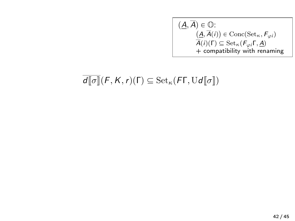$$
(\underline{A}, \overline{A}) \in \mathbb{O}: \n(\underline{A}, \overline{A}(i)) \in \text{Conc}(\text{Set}_{\kappa}, F_{\varphi i}) \n\overline{A}(i)(\Gamma) \subseteq \text{Set}_{\kappa}(F_{\varphi i}\Gamma, \underline{A}) \n+ compatibility with renaming
$$

# $\overline{d[\![\sigma]\!]}(F,K,r)(\Gamma)\subseteq \mathrm{Set}_\kappa(F\Gamma,\mathrm{U} d[\![\sigma]\!])$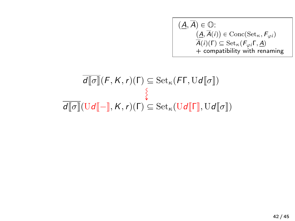$$
(\underline{A}, \overline{A}) \in \mathbb{O}: \n(\underline{A}, \overline{A}(i)) \in \text{Conc}(\text{Set}_{\kappa}, F_{\varphi i}) \n\overline{A}(i)(\Gamma) \subseteq \text{Set}_{\kappa}(F_{\varphi i}\Gamma, \underline{A}) \n+ compatibility with renaming
$$

$$
\overline{d[\![\sigma]\!]}(F, K, r)(\Gamma) \subseteq \text{Set}_{\kappa}(F\Gamma, \text{U}d[\![\sigma]\!])
$$
\n
$$
\overline{d[\![\sigma]\!]}(\text{U}d[\![\!-]\!], K, r)(\Gamma) \subseteq \text{Set}_{\kappa}(\text{U}d[\![\Gamma]\!], \text{U}d[\![\sigma]\!])
$$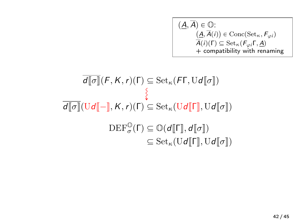$$
(\underline{A}, \overline{A}) \in \mathbb{O}: \\
(\underline{A}, \overline{A}(i)) \in \text{Conc}(\text{Set}_{\kappa}, F_{\varphi i}) \\
\overline{A}(i)(\Gamma) \subseteq \text{Set}_{\kappa}(F_{\varphi i}\Gamma, \underline{A}) \\
+ \text{compatibility with renaming}
$$

$$
\overline{d[\![\sigma]\!]}(F, K, r)(\Gamma) \subseteq \text{Set}_{\kappa}(F\Gamma, \text{U}d[\![\sigma]\!])
$$
\n
$$
\overline{d[\![\sigma]\!]}(\text{U}d[\![-], K, r)(\Gamma) \subseteq \text{Set}_{\kappa}(\text{U}d[\![\Gamma]\!], \text{U}d[\![\sigma]\!])
$$
\n
$$
\text{DEF}_{\sigma}^{\mathbb{Q}}(\Gamma) \subseteq \mathbb{O}(d[\![\Gamma]\!], d[\![\sigma]\!])
$$
\n
$$
\subseteq \text{Set}_{\kappa}(\text{U}d[\![\Gamma]\!], \text{U}d[\![\sigma]\!])
$$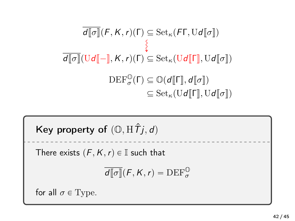$$
\overline{d[\![\sigma]\!]}(F, K, r)(\Gamma) \subseteq \text{Set}_{\kappa}(F\Gamma, \text{U}d[\![\sigma]\!])
$$
\n
$$
\overline{d[\![\sigma]\!]}(\text{U}d[\![-], K, r)(\Gamma) \subseteq \text{Set}_{\kappa}(\text{U}d[\![\Gamma]\!], \text{U}d[\![\sigma]\!])
$$
\n
$$
\text{DEF}_{\sigma}^{\mathbb{O}}(\Gamma) \subseteq \mathbb{O}(d[\![\Gamma]\!], d[\![\sigma]\!])
$$
\n
$$
\subseteq \text{Set}_{\kappa}(\text{U}d[\![\Gamma]\!], \text{U}d[\![\sigma]\!])
$$

Key property of 
$$
(\mathbb{O}, \mathbb{H} \hat{T}j, d)
$$
  
\nThere exists  $(F, K, r) \in \mathbb{I}$  such that  
\n
$$
\overline{d[\sigma]}(F, K, r) = \text{DEF}_{\sigma}^{\mathbb{O}}
$$
\nfor all  $\sigma \in \text{Type}$ .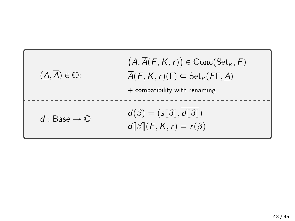$$
\overbrace{(\underline{A},\overline{A})\in\mathbb{O}}:\qquad \qquad \overbrace{\overline{A}(F,K,r))\in \mathrm{Conc}(\mathrm{Set}_{\kappa},F)}^{\underline{(A},\overline{A}(F,K,r))\in \mathrm{Cont}(\mathrm{Set}_{\kappa},F)}\\qquad \qquad + \text{compatibility with renaming} \\ \underline{d}(\beta) = (\mathbf{s}[\![\beta]\!], \overline{d[\![\beta]\!]})\\ \underline{d} : \text{Base} \to \mathbb{O}\qquad \qquad \overbrace{\overline{d[\![\beta]\!]}(F,K,r) = r(\beta)}^{\underline{d}(\beta)}\end{array}
$$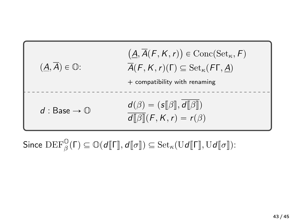

Since  $DEF_{\beta}^{\mathbb{O}}(\Gamma) \subseteq \mathbb{O}(d[\![\Gamma]\!], d[\![\sigma]\!]) \subseteq \text{Set}_{\kappa}(\text{U}d[\![\Gamma]\!], \text{U}d[\![\sigma]\!]).$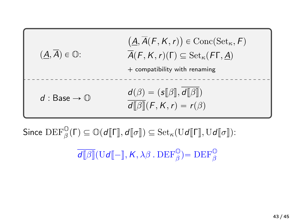| $(\underline{A}, A) \in \mathbb{O}$ : | $(\underline{A},\overline{A}(F,K,r)) \in \text{Conc}(\text{Set}_{\kappa},F)$<br>$\overline{A}(F,K,r)(\Gamma) \subseteq \text{Set}_{\kappa}(F\Gamma,\underline{A})$<br>$+$ compatibility with renaming |
|---------------------------------------|-------------------------------------------------------------------------------------------------------------------------------------------------------------------------------------------------------|
| $d :$ Base $\rightarrow \mathbb{O}$   | $d(\beta) = (s[\![\beta]\!], d[\![\beta]\!])$<br>$d[\beta](F, K, r) = r(\beta)$                                                                                                                       |

Since  $DEF_{\beta}^{\mathbb{O}}(\Gamma) \subseteq \mathbb{O}(d[\![\Gamma]\!], d[\![\sigma]\!]) \subseteq \text{Set}_{\kappa}(\text{U}d[\![\Gamma]\!], \text{U}d[\![\sigma]\!]).$ 

 $\overline{d[\![\beta]\!]}(\mathbb{U} d[\![-\!],\mathsf{K},\lambda\beta\mathsf{.}\mathsf{DEF}^{\mathbb{O}}_{\beta})=\mathsf{DEF}^{\mathbb{O}}_{\beta}$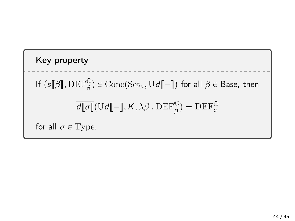Key property  
\nIf 
$$
(s[\![\beta]\!], \text{DEF}_{\beta}^{\mathbb{O}}) \in \text{Conc}(\text{Set}_{\kappa}, \text{Ud}[\![-]\!])
$$
 for all  $\beta \in \text{Base}$ , then  
\n
$$
\overline{d[\![\sigma]\!]}(\text{Ud}[\![-]\!], \mathsf{K}, \lambda \beta \cdot \text{DEF}_{\beta}^{\mathbb{O}}) = \text{DEF}_{\sigma}^{\mathbb{O}}
$$
\nfor all  $\sigma \in \text{Type}$ .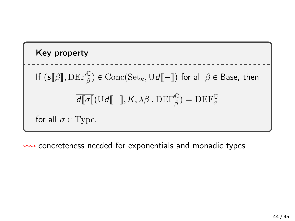Key property  
\nIf 
$$
(s[\![\beta]\!], \text{DEF}_{\beta}^{\mathbb{O}}) \in \text{Conc}(\text{Set}_{\kappa}, \text{Ud}[\![-]\!])
$$
 for all  $\beta \in \text{Base}$ , then  
\n
$$
\overline{d[\![\sigma]\!]}(\text{Ud}[\![-]\!], \mathcal{K}, \lambda \beta \cdot \text{DEF}_{\beta}^{\mathbb{O}}) = \text{DEF}_{\sigma}^{\mathbb{O}}
$$
\nfor all  $\sigma \in \text{Type}$ .

 $\rightarrow$  concreteness needed for exponentials and monadic types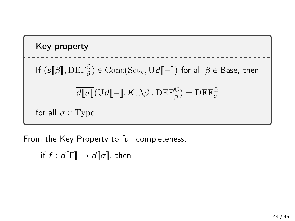```
Key property
 If (s[\![\beta]\!],\text{DEF}_{\beta}^{\mathbb{O}}) \in \text{Conc}(\text{Set}_{\kappa}, \text{Ud}[\![-]\!]) for all \beta \in \text{Base}, then
                            \overline{d[\![\sigma]\!]}(\mathbb{U} d[\![-], K, \lambda\beta \cdot \mathrm{DEF}_{\beta}^{\mathbb{O}}) = \mathrm{DEF}_{\sigma}^{\mathbb{O}}for all \sigma \in \mathrm{Type}.
```
From the Key Property to full completeness:

if  $f : d[[\Gamma]] \to d[[\sigma]]$ , then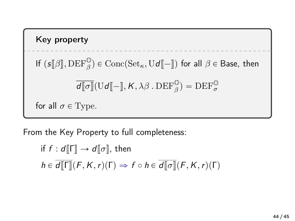Key property  
\nIf 
$$
(s[\![\beta]\!], \text{DEF}_{\beta}^{\mathbb{O}}) \in \text{Conc}(\text{Set}_{\kappa}, \text{Ud}[\![-]\!])
$$
 for all  $\beta \in \text{Base}$ , then  
\n
$$
\overline{d[\![\sigma]\!]}(\text{Ud}[\![-]\!], \mathcal{K}, \lambda \beta \cdot \text{DEF}_{\beta}^{\mathbb{O}}) = \text{DEF}_{\sigma}^{\mathbb{O}}
$$
\nfor all  $\sigma \in \text{Type}$ .

From the Key Property to full completeness:

if  $f : d[[\Gamma]] \to d[[\sigma]]$ , then  $h \in \overline{d\Vert \Gamma \Vert}(F,K,r)(\Gamma) \Rightarrow f \circ h \in \overline{d\Vert \sigma \Vert}(F,K,r)(\Gamma)$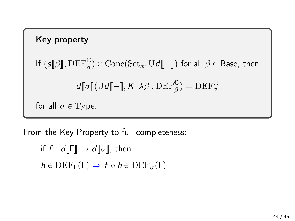Key property  
\nIf 
$$
(s[\![\beta]\!], \text{DEF}_{\beta}^{\mathbb{O}}) \in \text{Conc}(\text{Set}_{\kappa}, \text{Ud}[\![-]\!])
$$
 for all  $\beta \in \text{Base}$ , then  
\n
$$
\overline{d[\![\sigma]\!]}(\text{Ud}[\![-]\!], \mathcal{K}, \lambda \beta \cdot \text{DEF}_{\beta}^{\mathbb{O}}) = \text{DEF}_{\sigma}^{\mathbb{O}}
$$
\nfor all  $\sigma \in \text{Type}$ .

From the Key Property to full completeness:

if  $f : d[[\Gamma]] \to d[[\sigma]]$ , then  $h \in \text{DEF}_{\Gamma}(\Gamma) \Rightarrow f \circ h \in \text{DEF}_{\sigma}(\Gamma)$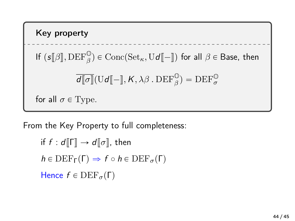Key property If  $(s[\![\beta]\!],\text{DEF}_{\beta}^{\mathbb{O}}) \in \text{Conc}(\text{Set}_{\kappa}, \text{Ud}[\![-]\!])$  for all  $\beta \in \text{Base}$ , then  $\overline{d[\![\sigma]\!]}(\mathbb{U} d[\![-], K, \lambda\beta \cdot \mathrm{DEF}_{\beta}^{\mathbb{O}}) = \mathrm{DEF}_{\sigma}^{\mathbb{O}}$ for all  $\sigma \in \mathrm{Type}$ .

From the Key Property to full completeness:

if f :  $d\llbracket \Gamma \rrbracket \rightarrow d\llbracket \sigma \rrbracket$ , then  $h \in \text{DEF}_{\Gamma}(\Gamma) \Rightarrow f \circ h \in \text{DEF}_{\sigma}(\Gamma)$ Hence  $f \in \text{DEF}_{\sigma}(\Gamma)$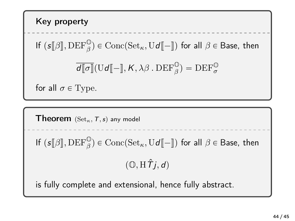Key property If  $(s[\![\beta]\!],\text{DEF}_{\beta}^{\mathbb{O}}) \in \text{Conc}(\text{Set}_{\kappa}, \text{Ud}[\![-]\!])$  for all  $\beta \in \text{Base}$ , then  $\overline{d[\![\sigma]\!]}(\mathbb{U} d[\![-], K, \lambda\beta \cdot \mathrm{DEF}_{\beta}^{\mathbb{O}}) = \mathrm{DEF}_{\sigma}^{\mathbb{O}}$ for all  $\sigma \in \text{Type}$ .

**Theorem** (Set<sub> $\kappa$ </sub>,  $T$ ,  $s$ ) any model If  $(s[\![\beta]\!],\text{DEF}_{\beta}^{\mathbb{O}}) \in \text{Conc}(\text{Set}_{\kappa}, \text{Ud}[\![-]\!])$  for all  $\beta \in \text{Base}$ , then  $(\mathbb{O}, H\hat{T}$ *i*, *d*)

is fully complete and extensional, hence fully abstract.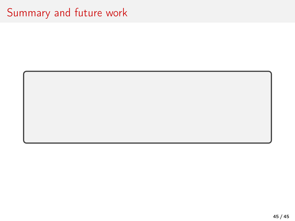# Summary and future work

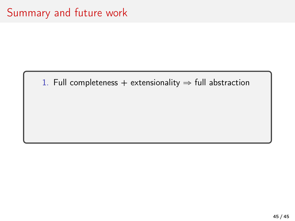1. Full completeness + extensionality  $\Rightarrow$  full abstraction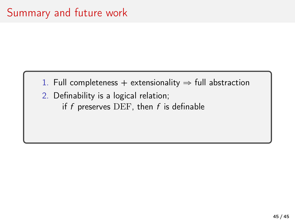- 1. Full completeness + extensionality  $\Rightarrow$  full abstraction
- 2. Definability is a logical relation;
	- if  $f$  preserves DEF, then  $f$  is definable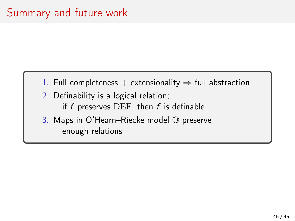- 1. Full completeness + extensionality  $\Rightarrow$  full abstraction
- 2. Definability is a logical relation; if  $f$  preserves DEF, then  $f$  is definable
- 3. Maps in O'Hearn–Riecke model O preserve enough relations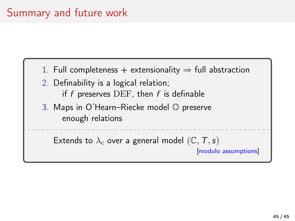